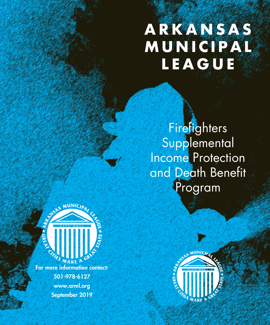## **A R K A N S A S M U N I C I P A L LEAGUE**

**Firefighters Supplemental** Income Protection and Death Benefit Program